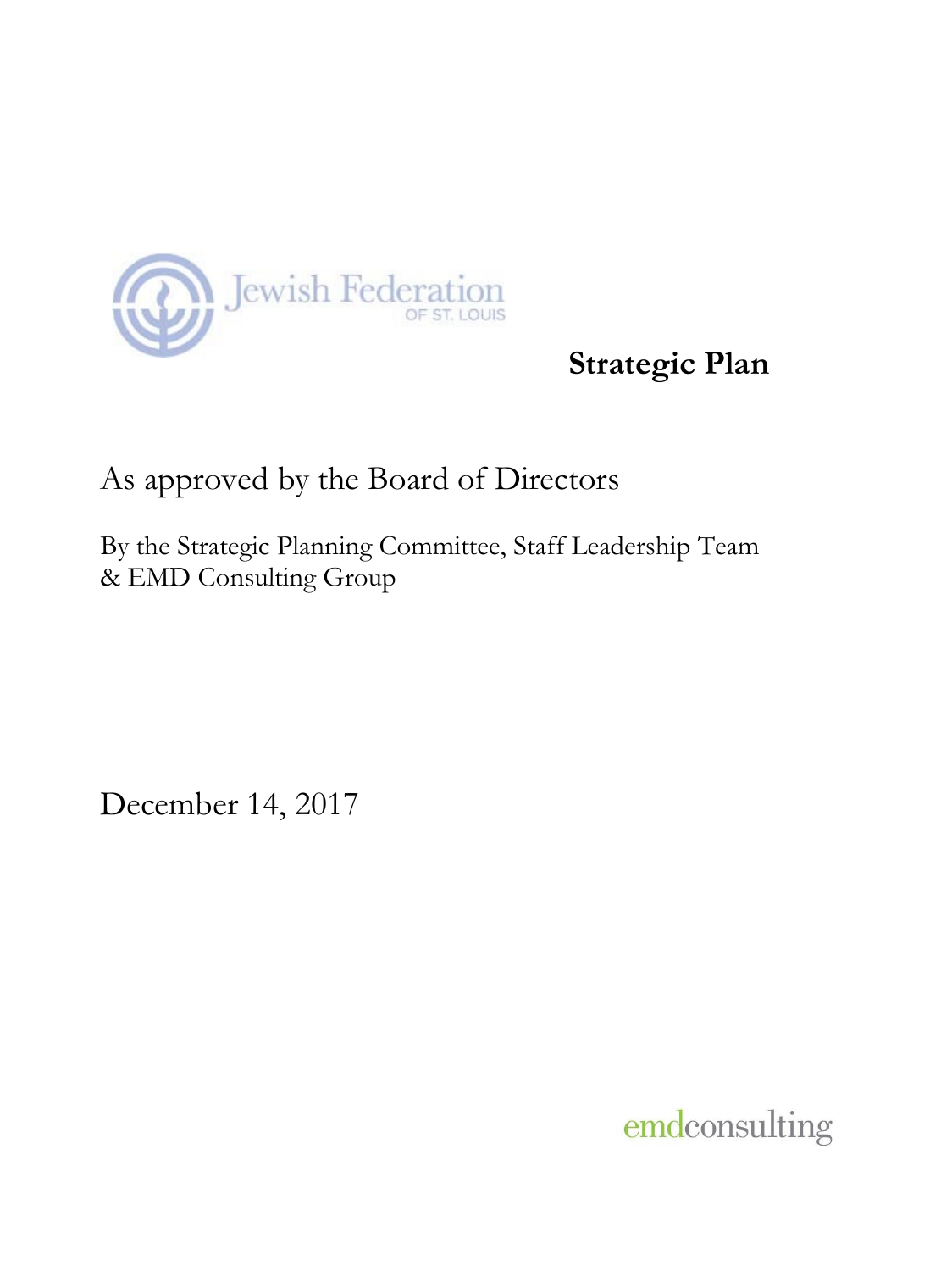

# **Strategic Plan**

# As approved by the Board of Directors

By the Strategic Planning Committee, Staff Leadership Team & EMD Consulting Group

December 14, 2017

emdconsulting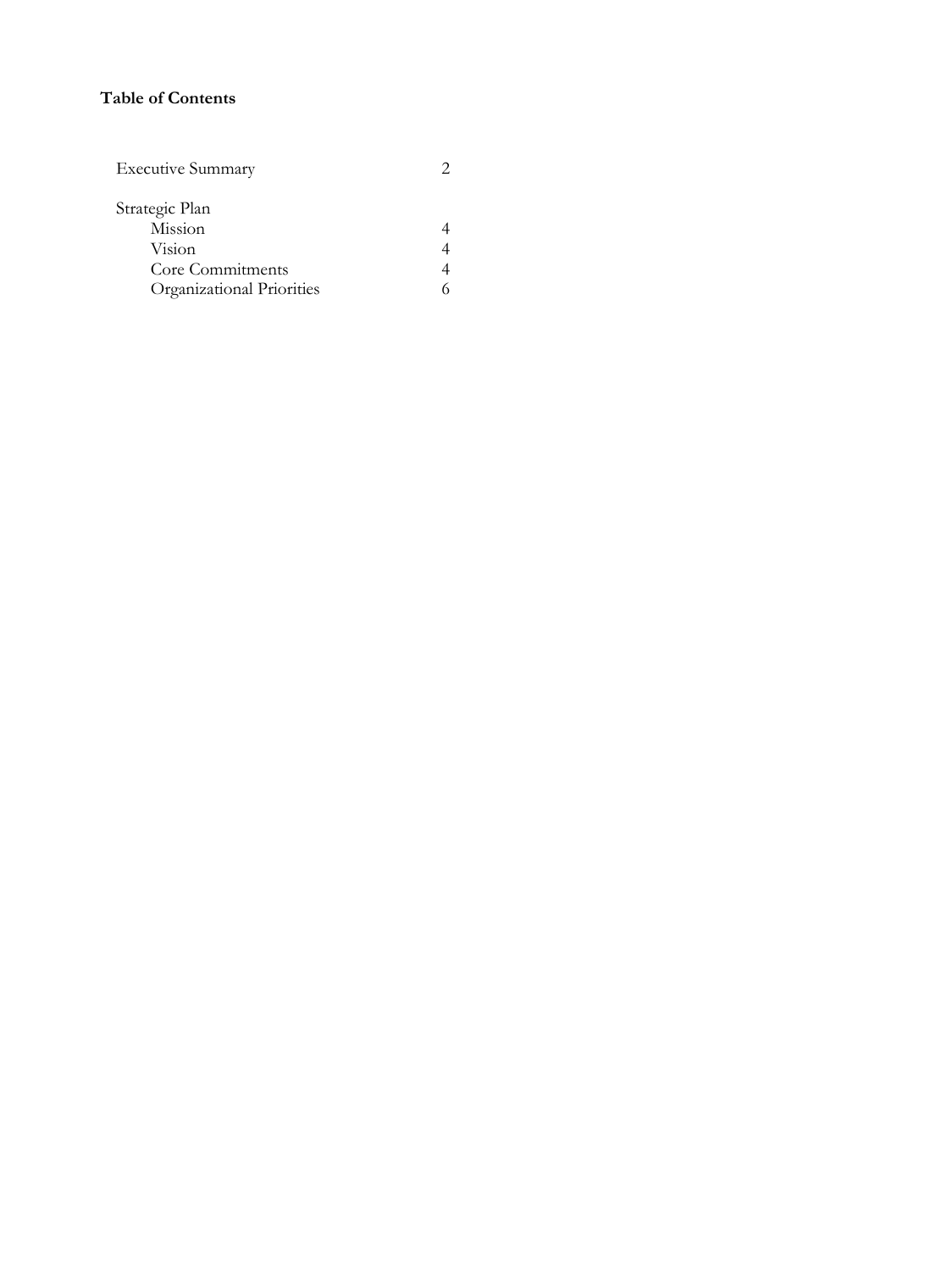## **Table of Contents**

| <b>Executive Summary</b>  |  |
|---------------------------|--|
| Strategic Plan            |  |
| Mission                   |  |
| Vision                    |  |
| Core Commitments          |  |
| Organizational Priorities |  |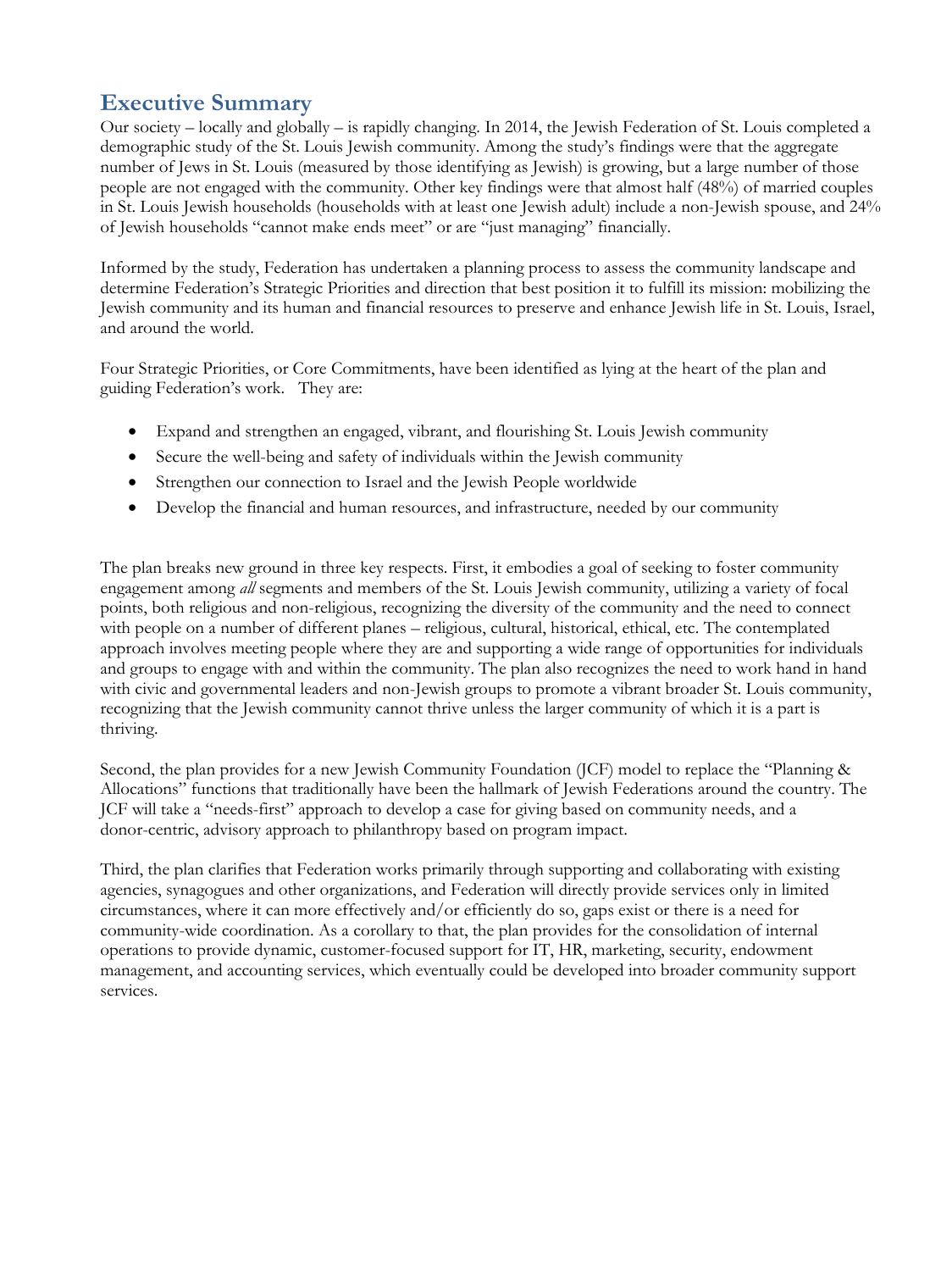# **Executive Summary**

Our society – locally and globally – is rapidly changing. In 2014, the Jewish Federation of St. Louis completed a demographic study of the St. Louis Jewish community. Among the study's findings were that the aggregate number of Jews in St. Louis (measured by those identifying as Jewish) is growing, but a large number of those people are not engaged with the community. Other key findings were that almost half (48%) of married couples in St. Louis Jewish households (households with at least one Jewish adult) include a non-Jewish spouse, and 24% of Jewish households "cannot make ends meet" or are "just managing" financially.

Informed by the study, Federation has undertaken a planning process to assess the community landscape and determine Federation's Strategic Priorities and direction that best position it to fulfill its mission: mobilizing the Jewish community and its human and financial resources to preserve and enhance Jewish life in St. Louis, Israel, and around the world.

Four Strategic Priorities, or Core Commitments, have been identified as lying at the heart of the plan and guiding Federation's work. They are:

- Expand and strengthen an engaged, vibrant, and flourishing St. Louis Jewish community
- Secure the well-being and safety of individuals within the Jewish community
- Strengthen our connection to Israel and the Jewish People worldwide
- Develop the financial and human resources, and infrastructure, needed by our community

The plan breaks new ground in three key respects. First, it embodies a goal of seeking to foster community engagement among *all* segments and members of the St. Louis Jewish community, utilizing a variety of focal points, both religious and non-religious, recognizing the diversity of the community and the need to connect with people on a number of different planes – religious, cultural, historical, ethical, etc. The contemplated approach involves meeting people where they are and supporting a wide range of opportunities for individuals and groups to engage with and within the community. The plan also recognizes the need to work hand in hand with civic and governmental leaders and non-Jewish groups to promote a vibrant broader St. Louis community, recognizing that the Jewish community cannot thrive unless the larger community of which it is a part is thriving.

Second, the plan provides for a new Jewish Community Foundation (JCF) model to replace the "Planning & Allocations" functions that traditionally have been the hallmark of Jewish Federations around the country. The JCF will take a "needs-first" approach to develop a case for giving based on community needs, and a donor-centric, advisory approach to philanthropy based on program impact.

Third, the plan clarifies that Federation works primarily through supporting and collaborating with existing agencies, synagogues and other organizations, and Federation will directly provide services only in limited circumstances, where it can more effectively and/or efficiently do so, gaps exist or there is a need for community-wide coordination. As a corollary to that, the plan provides for the consolidation of internal operations to provide dynamic, customer-focused support for IT, HR, marketing, security, endowment management, and accounting services, which eventually could be developed into broader community support services.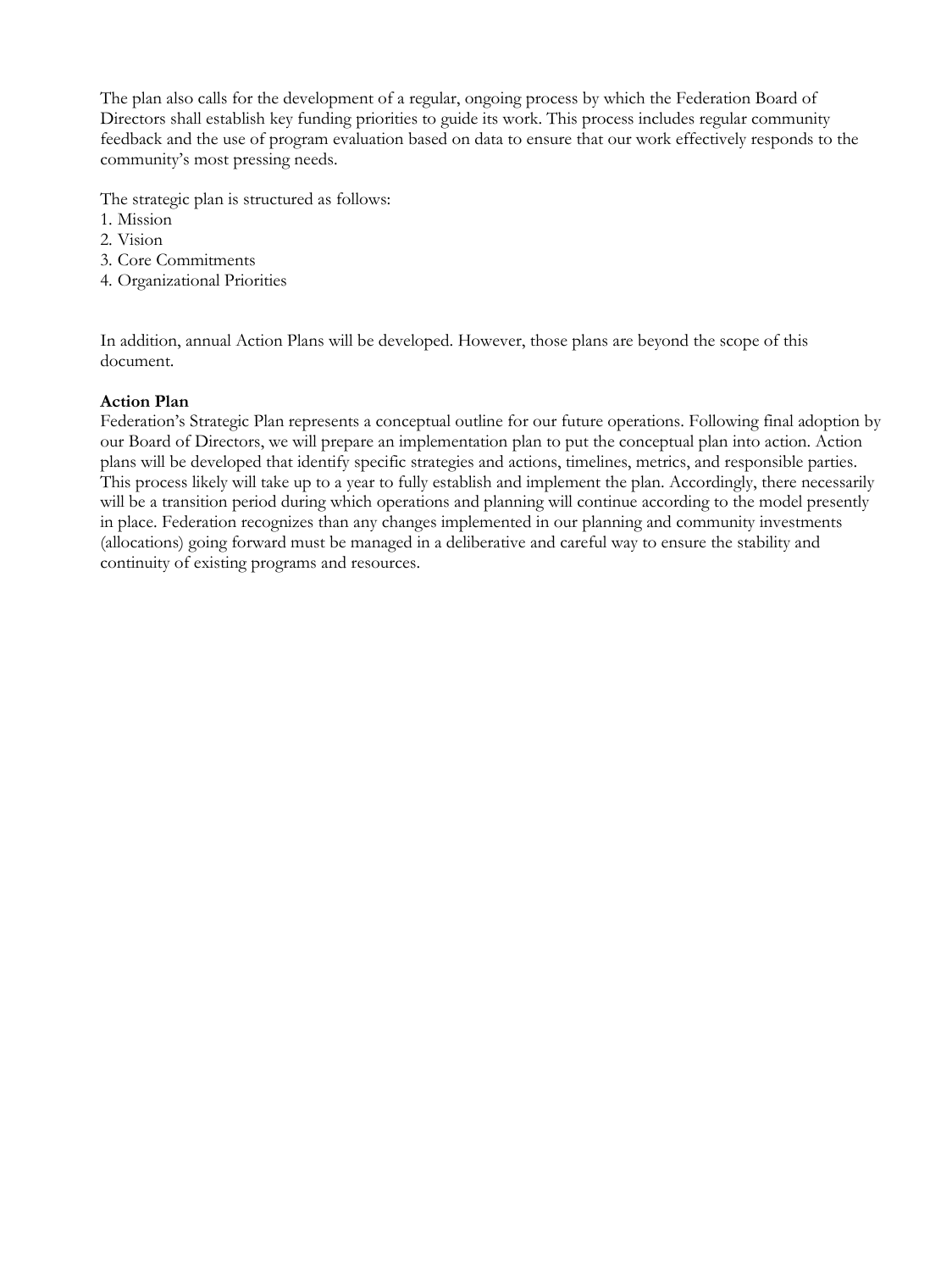The plan also calls for the development of a regular, ongoing process by which the Federation Board of Directors shall establish key funding priorities to guide its work. This process includes regular community feedback and the use of program evaluation based on data to ensure that our work effectively responds to the community's most pressing needs.

The strategic plan is structured as follows:

- 1. Mission
- 2. Vision
- 3. Core Commitments
- 4. Organizational Priorities

In addition, annual Action Plans will be developed. However, those plans are beyond the scope of this document.

#### **Action Plan**

Federation's Strategic Plan represents a conceptual outline for our future operations. Following final adoption by our Board of Directors, we will prepare an implementation plan to put the conceptual plan into action. Action plans will be developed that identify specific strategies and actions, timelines, metrics, and responsible parties. This process likely will take up to a year to fully establish and implement the plan. Accordingly, there necessarily will be a transition period during which operations and planning will continue according to the model presently in place. Federation recognizes than any changes implemented in our planning and community investments (allocations) going forward must be managed in a deliberative and careful way to ensure the stability and continuity of existing programs and resources.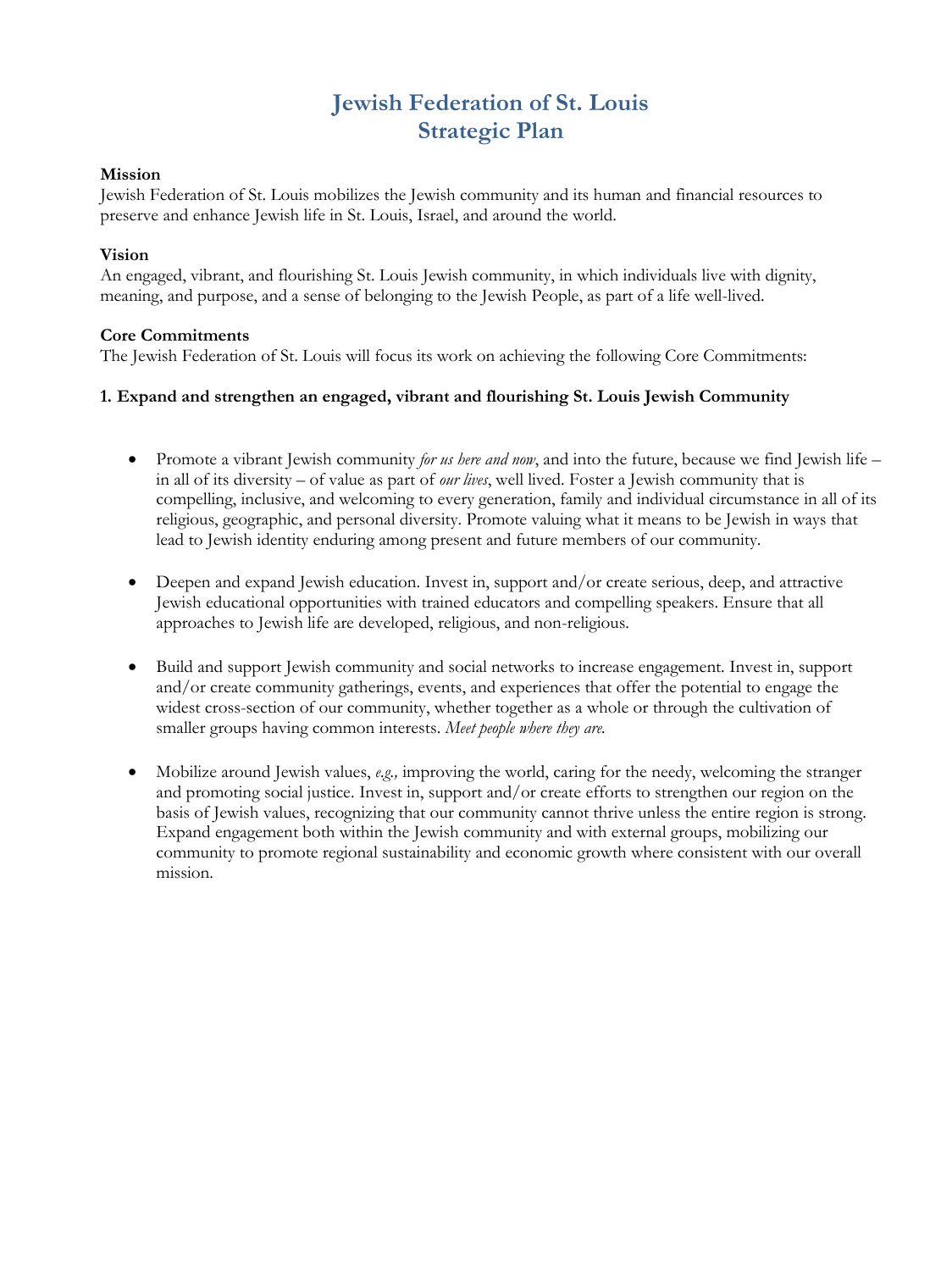# **Jewish Federation of St. Louis Strategic Plan**

#### **Mission**

Jewish Federation of St. Louis mobilizes the Jewish community and its human and financial resources to preserve and enhance Jewish life in St. Louis, Israel, and around the world.

#### **Vision**

An engaged, vibrant, and flourishing St. Louis Jewish community, in which individuals live with dignity, meaning, and purpose, and a sense of belonging to the Jewish People, as part of a life well-lived.

#### **Core Commitments**

The Jewish Federation of St. Louis will focus its work on achieving the following Core Commitments:

#### **1. Expand and strengthen an engaged, vibrant and flourishing St. Louis Jewish Community**

- Promote a vibrant Jewish community *for us here and now*, and into the future, because we find Jewish life in all of its diversity – of value as part of *our lives*, well lived. Foster a Jewish community that is compelling, inclusive, and welcoming to every generation, family and individual circumstance in all of its religious, geographic, and personal diversity. Promote valuing what it means to be Jewish in ways that lead to Jewish identity enduring among present and future members of our community.
- Deepen and expand Jewish education. Invest in, support and/or create serious, deep, and attractive Jewish educational opportunities with trained educators and compelling speakers. Ensure that all approaches to Jewish life are developed, religious, and non-religious.
- Build and support Jewish community and social networks to increase engagement. Invest in, support and/or create community gatherings, events, and experiences that offer the potential to engage the widest cross-section of our community, whether together as a whole or through the cultivation of smaller groups having common interests. *Meet people where they are.*
- Mobilize around Jewish values, *e.g.,* improving the world, caring for the needy, welcoming the stranger and promoting social justice. Invest in, support and/or create efforts to strengthen our region on the basis of Jewish values, recognizing that our community cannot thrive unless the entire region is strong. Expand engagement both within the Jewish community and with external groups, mobilizing our community to promote regional sustainability and economic growth where consistent with our overall mission.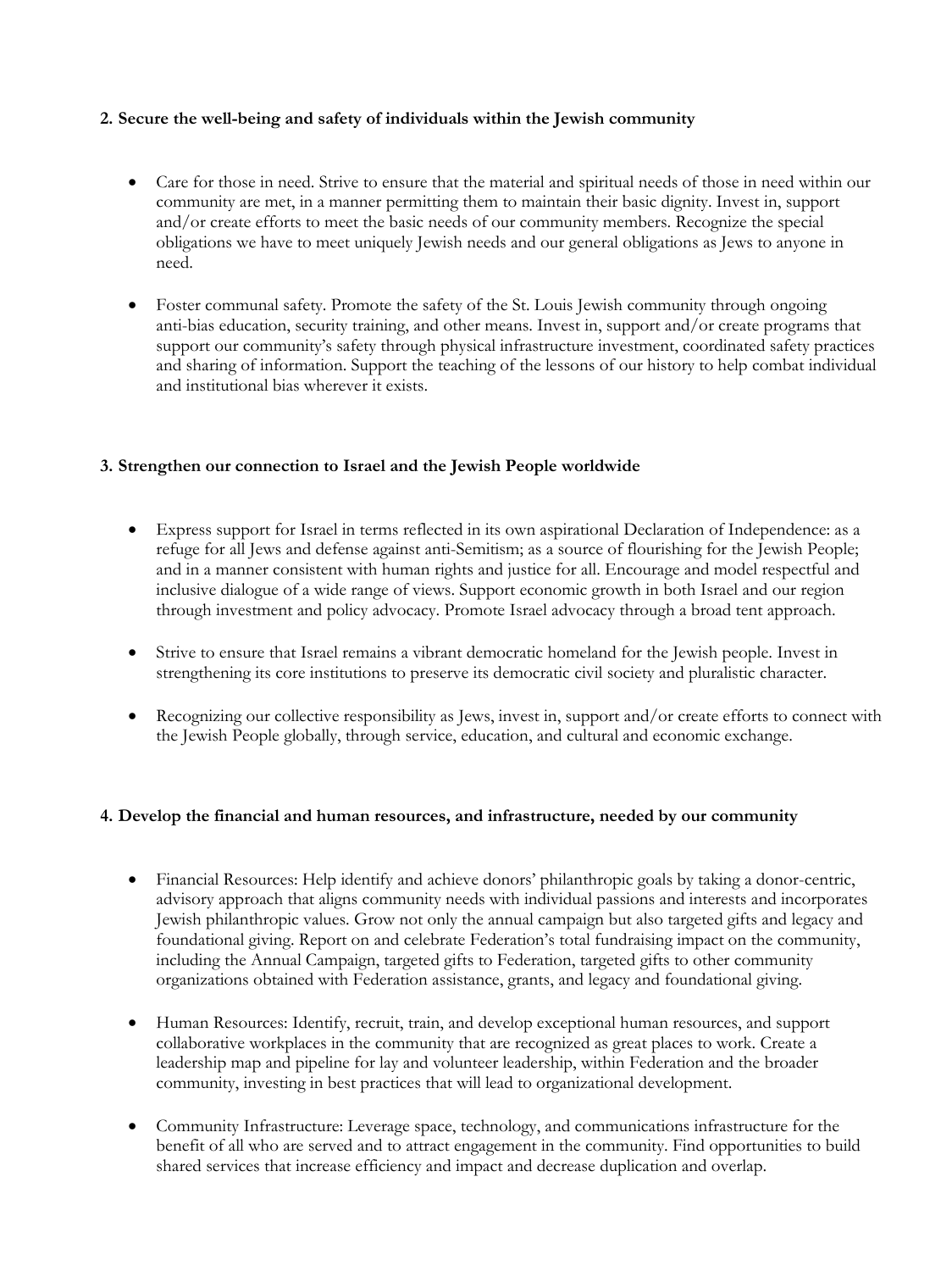# **2. Secure the well-being and safety of individuals within the Jewish community**

- Care for those in need. Strive to ensure that the material and spiritual needs of those in need within our community are met, in a manner permitting them to maintain their basic dignity. Invest in, support and/or create efforts to meet the basic needs of our community members. Recognize the special obligations we have to meet uniquely Jewish needs and our general obligations as Jews to anyone in need.
- Foster communal safety. Promote the safety of the St. Louis Jewish community through ongoing anti-bias education, security training, and other means. Invest in, support and/or create programs that support our community's safety through physical infrastructure investment, coordinated safety practices and sharing of information. Support the teaching of the lessons of our history to help combat individual and institutional bias wherever it exists.

#### **3. Strengthen our connection to Israel and the Jewish People worldwide**

- Express support for Israel in terms reflected in its own aspirational Declaration of Independence: as a refuge for all Jews and defense against anti-Semitism; as a source of flourishing for the Jewish People; and in a manner consistent with human rights and justice for all. Encourage and model respectful and inclusive dialogue of a wide range of views. Support economic growth in both Israel and our region through investment and policy advocacy. Promote Israel advocacy through a broad tent approach.
- Strive to ensure that Israel remains a vibrant democratic homeland for the Jewish people. Invest in strengthening its core institutions to preserve its democratic civil society and pluralistic character.
- Recognizing our collective responsibility as Jews, invest in, support and/or create efforts to connect with the Jewish People globally, through service, education, and cultural and economic exchange.

#### **4. Develop the financial and human resources, and infrastructure, needed by our community**

- Financial Resources: Help identify and achieve donors' philanthropic goals by taking a donor-centric, advisory approach that aligns community needs with individual passions and interests and incorporates Jewish philanthropic values. Grow not only the annual campaign but also targeted gifts and legacy and foundational giving. Report on and celebrate Federation's total fundraising impact on the community, including the Annual Campaign, targeted gifts to Federation, targeted gifts to other community organizations obtained with Federation assistance, grants, and legacy and foundational giving.
- Human Resources: Identify, recruit, train, and develop exceptional human resources, and support collaborative workplaces in the community that are recognized as great places to work. Create a leadership map and pipeline for lay and volunteer leadership, within Federation and the broader community, investing in best practices that will lead to organizational development.
- Community Infrastructure: Leverage space, technology, and communications infrastructure for the benefit of all who are served and to attract engagement in the community. Find opportunities to build shared services that increase efficiency and impact and decrease duplication and overlap.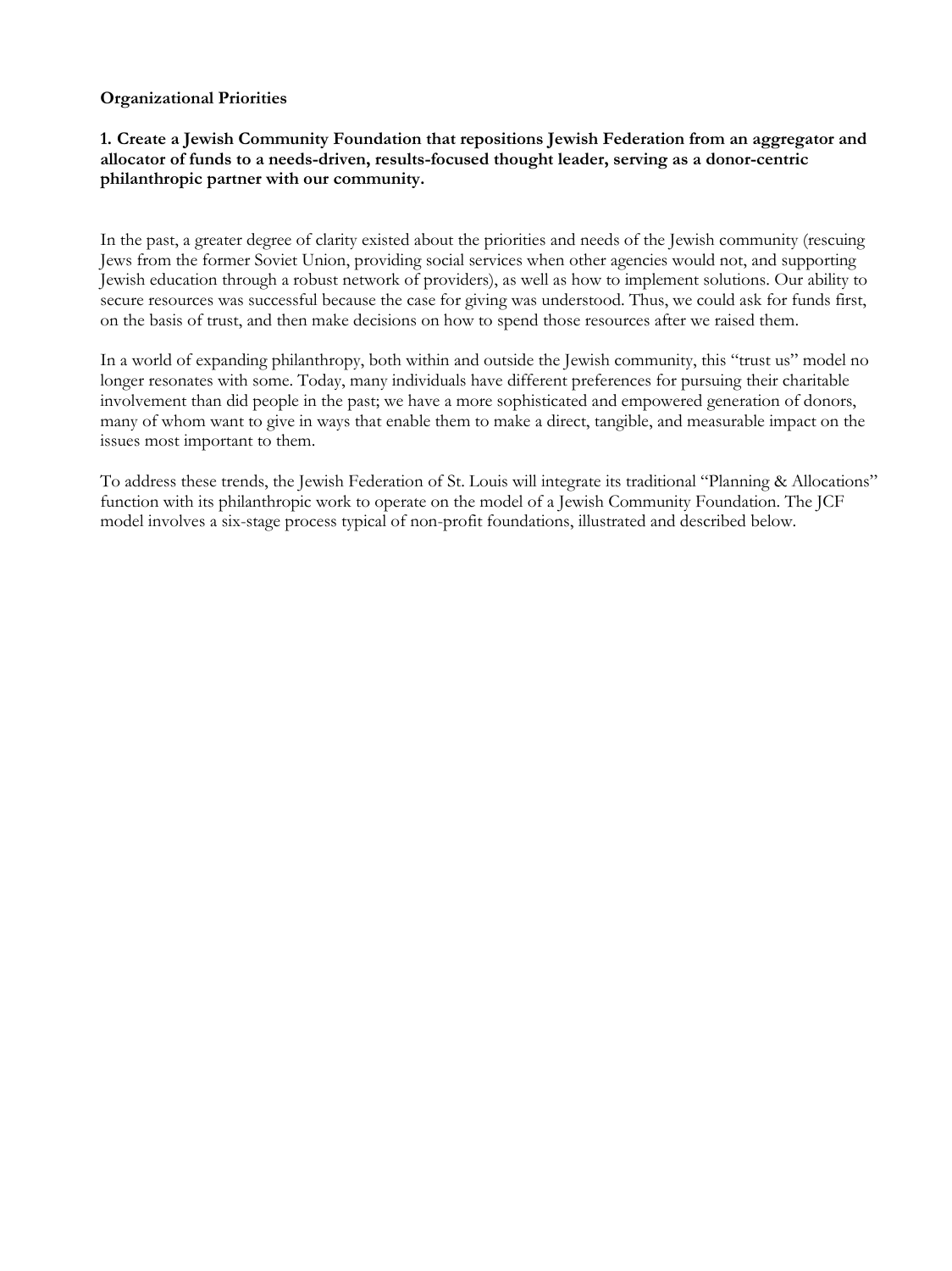#### **Organizational Priorities**

#### **1. Create a Jewish Community Foundation that repositions Jewish Federation from an aggregator and allocator of funds to a needs-driven, results-focused thought leader, serving as a donor-centric philanthropic partner with our community.**

In the past, a greater degree of clarity existed about the priorities and needs of the Jewish community (rescuing Jews from the former Soviet Union, providing social services when other agencies would not, and supporting Jewish education through a robust network of providers), as well as how to implement solutions. Our ability to secure resources was successful because the case for giving was understood. Thus, we could ask for funds first, on the basis of trust, and then make decisions on how to spend those resources after we raised them.

In a world of expanding philanthropy, both within and outside the Jewish community, this "trust us" model no longer resonates with some. Today, many individuals have different preferences for pursuing their charitable involvement than did people in the past; we have a more sophisticated and empowered generation of donors, many of whom want to give in ways that enable them to make a direct, tangible, and measurable impact on the issues most important to them.

To address these trends, the Jewish Federation of St. Louis will integrate its traditional "Planning & Allocations" function with its philanthropic work to operate on the model of a Jewish Community Foundation. The JCF model involves a six-stage process typical of non-profit foundations, illustrated and described below.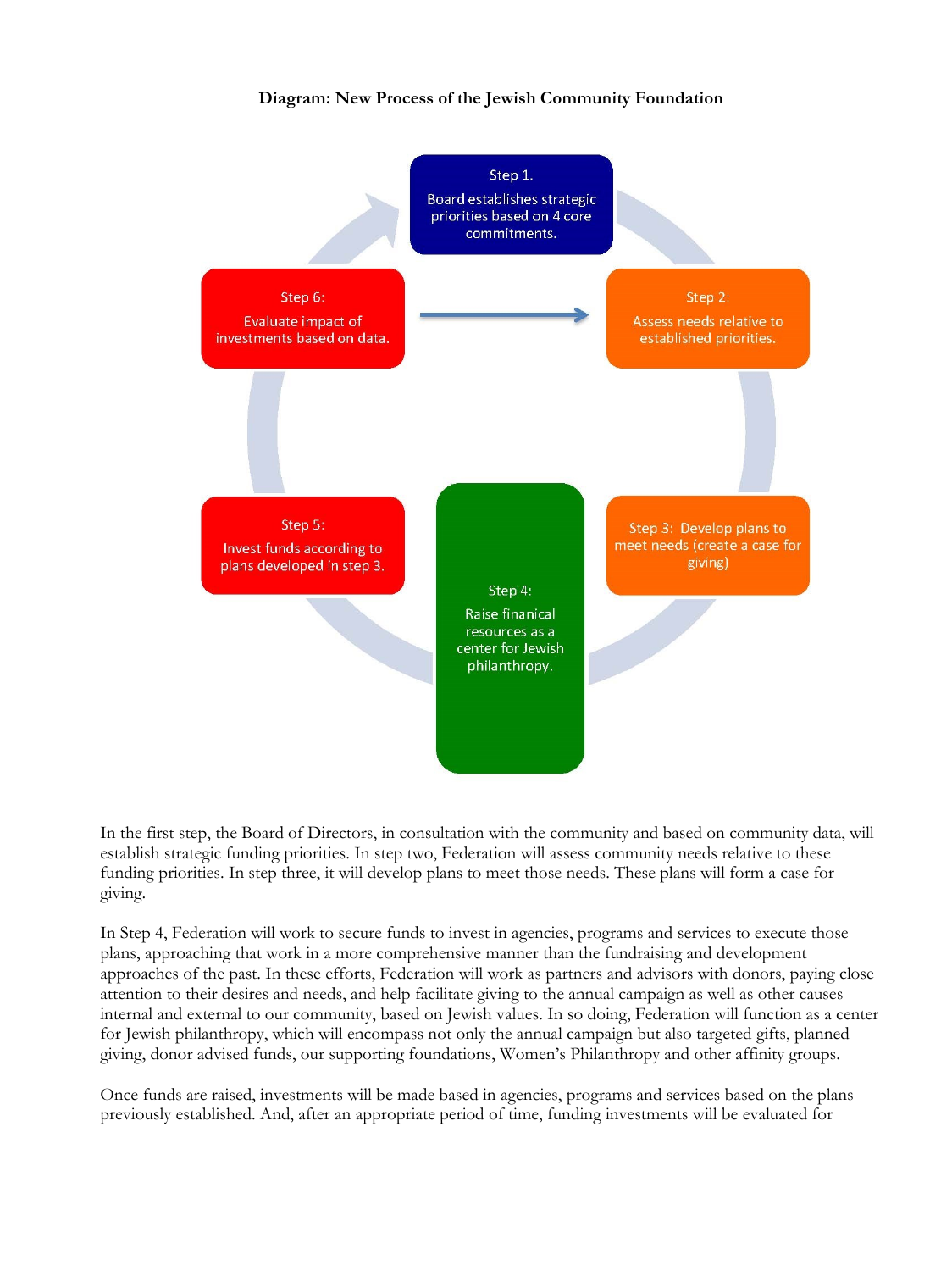# **Diagram: New Process of the Jewish Community Foundation**



In the first step, the Board of Directors, in consultation with the community and based on community data, will establish strategic funding priorities. In step two, Federation will assess community needs relative to these funding priorities. In step three, it will develop plans to meet those needs. These plans will form a case for giving.

In Step 4, Federation will work to secure funds to invest in agencies, programs and services to execute those plans, approaching that work in a more comprehensive manner than the fundraising and development approaches of the past. In these efforts, Federation will work as partners and advisors with donors, paying close attention to their desires and needs, and help facilitate giving to the annual campaign as well as other causes internal and external to our community, based on Jewish values. In so doing, Federation will function as a center for Jewish philanthropy, which will encompass not only the annual campaign but also targeted gifts, planned giving, donor advised funds, our supporting foundations, Women's Philanthropy and other affinity groups.

Once funds are raised, investments will be made based in agencies, programs and services based on the plans previously established. And, after an appropriate period of time, funding investments will be evaluated for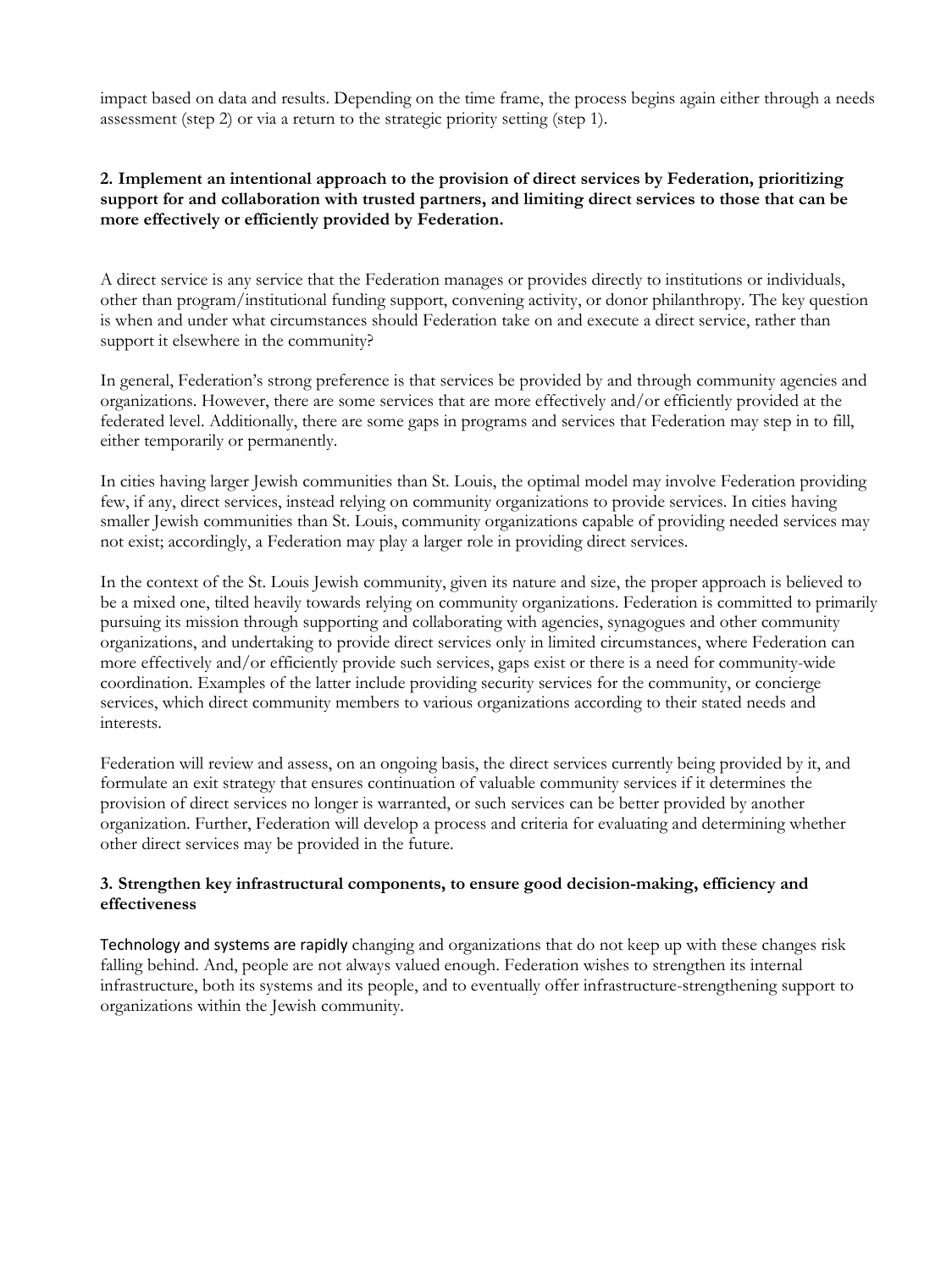impact based on data and results. Depending on the time frame, the process begins again either through a needs assessment (step 2) or via a return to the strategic priority setting (step 1).

## **2. Implement an intentional approach to the provision of direct services by Federation, prioritizing support for and collaboration with trusted partners, and limiting direct services to those that can be more effectively or efficiently provided by Federation.**

A direct service is any service that the Federation manages or provides directly to institutions or individuals, other than program/institutional funding support, convening activity, or donor philanthropy. The key question is when and under what circumstances should Federation take on and execute a direct service, rather than support it elsewhere in the community?

In general, Federation's strong preference is that services be provided by and through community agencies and organizations. However, there are some services that are more effectively and/or efficiently provided at the federated level. Additionally, there are some gaps in programs and services that Federation may step in to fill, either temporarily or permanently.

In cities having larger Jewish communities than St. Louis, the optimal model may involve Federation providing few, if any, direct services, instead relying on community organizations to provide services. In cities having smaller Jewish communities than St. Louis, community organizations capable of providing needed services may not exist; accordingly, a Federation may play a larger role in providing direct services.

In the context of the St. Louis Jewish community, given its nature and size, the proper approach is believed to be a mixed one, tilted heavily towards relying on community organizations. Federation is committed to primarily pursuing its mission through supporting and collaborating with agencies, synagogues and other community organizations, and undertaking to provide direct services only in limited circumstances, where Federation can more effectively and/or efficiently provide such services, gaps exist or there is a need for community-wide coordination. Examples of the latter include providing security services for the community, or concierge services, which direct community members to various organizations according to their stated needs and interests.

Federation will review and assess, on an ongoing basis, the direct services currently being provided by it, and formulate an exit strategy that ensures continuation of valuable community services if it determines the provision of direct services no longer is warranted, or such services can be better provided by another organization. Further, Federation will develop a process and criteria for evaluating and determining whether other direct services may be provided in the future.

## **3. Strengthen key infrastructural components, to ensure good decision-making, efficiency and effectiveness**

Technology and systems are rapidly changing and organizations that do not keep up with these changes risk falling behind. And, people are not always valued enough. Federation wishes to strengthen its internal infrastructure, both its systems and its people, and to eventually offer infrastructure-strengthening support to organizations within the Jewish community.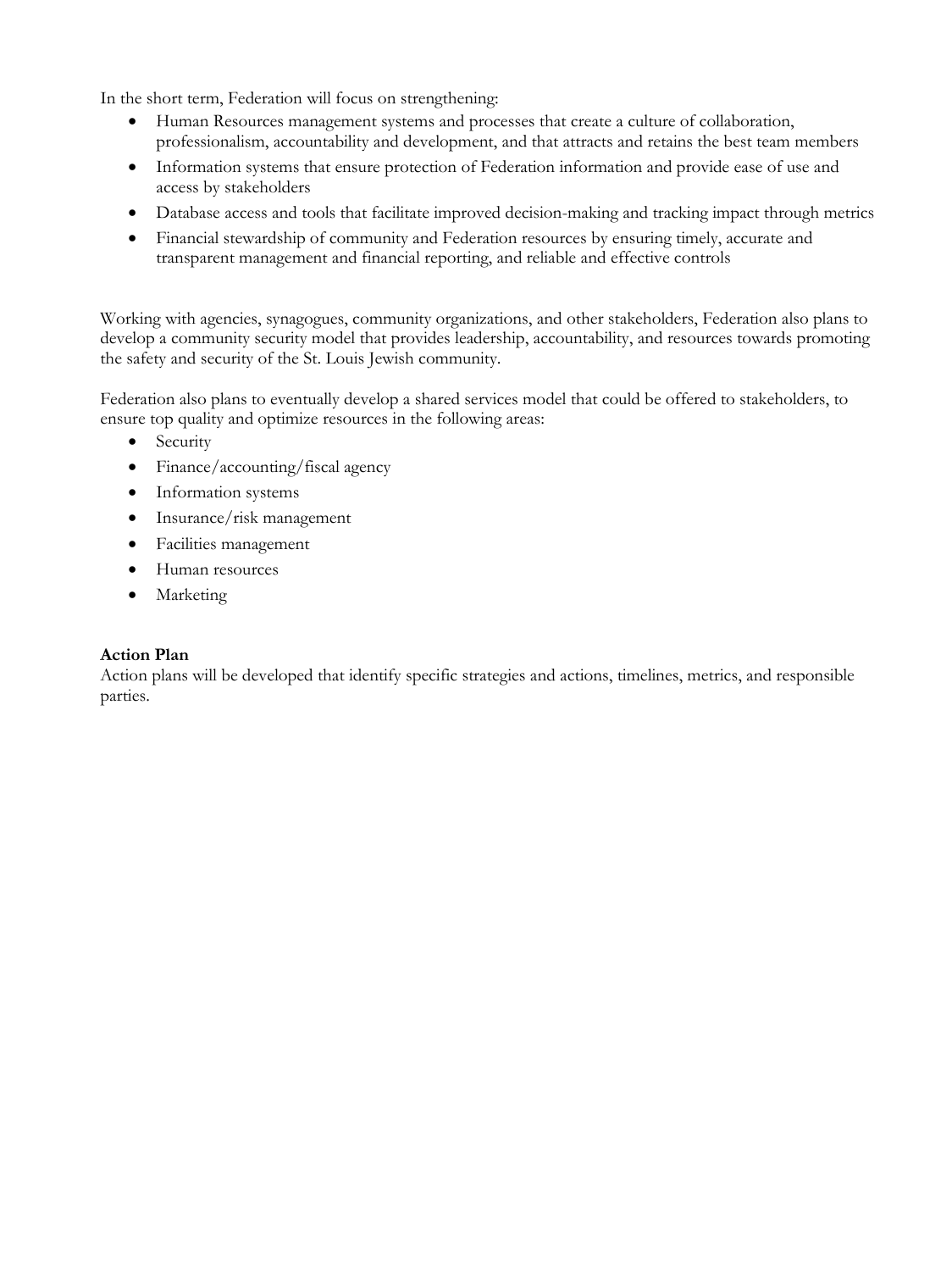In the short term, Federation will focus on strengthening:

- Human Resources management systems and processes that create a culture of collaboration, professionalism, accountability and development, and that attracts and retains the best team members
- Information systems that ensure protection of Federation information and provide ease of use and access by stakeholders
- Database access and tools that facilitate improved decision-making and tracking impact through metrics
- Financial stewardship of community and Federation resources by ensuring timely, accurate and transparent management and financial reporting, and reliable and effective controls

Working with agencies, synagogues, community organizations, and other stakeholders, Federation also plans to develop a community security model that provides leadership, accountability, and resources towards promoting the safety and security of the St. Louis Jewish community.

Federation also plans to eventually develop a shared services model that could be offered to stakeholders, to ensure top quality and optimize resources in the following areas:

- Security
- Finance/accounting/fiscal agency
- Information systems
- Insurance/risk management
- Facilities management
- Human resources
- Marketing

#### **Action Plan**

Action plans will be developed that identify specific strategies and actions, timelines, metrics, and responsible parties.